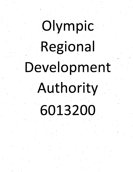# Olympic Regional Development

Authority 6013200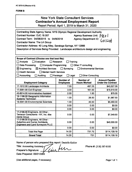## **FORMB**

# New York State Consultant Services **Contractor's Annual Employment Report**

Report Period: April 1, 2019 to March 31,2020

| Contracting State Agency Name: NYS Olympic Regional Development Authority                                      |                  |                     |                           |  |  |
|----------------------------------------------------------------------------------------------------------------|------------------|---------------------|---------------------------|--|--|
| Contract Number: OJC.18.007<br>Agency Business Unit: P&0                                                       |                  |                     |                           |  |  |
| Contract Term: 04/08/2015 to 04/8/2018<br><b>Agency Department ID:</b><br>C013200                              |                  |                     |                           |  |  |
| <b>Contractor Name: The LA Group</b>                                                                           |                  |                     |                           |  |  |
| Contractor Address: 40 Long Alley, Saratoga Springs, NY 12866                                                  |                  |                     |                           |  |  |
| Description of Services Being Provided: Landscape architecture design and engineering                          |                  |                     |                           |  |  |
|                                                                                                                |                  |                     |                           |  |  |
|                                                                                                                |                  |                     |                           |  |  |
| Scope of Contract (Choose one that best fits):                                                                 |                  |                     |                           |  |  |
| $\Box$ Analysis<br>$\Box$ Evaluation<br>$\Box$ Research<br>Training                                            |                  |                     |                           |  |  |
| Data Processing<br>$\Box$ Computer Programming<br>$\Box$ Other IT consulting                                   |                  |                     |                           |  |  |
| $\boxtimes$ Engineering<br>$\boxtimes$ Architect Services<br>$\Box$ Surveying<br><b>Environmental Services</b> |                  |                     |                           |  |  |
| <b>Health Services</b><br>Mental Health Services                                                               |                  |                     |                           |  |  |
| Accounting<br>$\Box$ Auditing<br>$\Box$ Legal<br>$\Box$ Paralegal<br><b>Other Consulting</b>                   |                  |                     |                           |  |  |
|                                                                                                                | Number of        | <b>Number of</b>    | <b>Amount Payable</b>     |  |  |
| <b>Employment Category</b>                                                                                     | <b>Employees</b> | <b>Hours Worked</b> | <b>Under the Contract</b> |  |  |
| 17-1012.00 Landscape Architects                                                                                | 7.00             | 497.25              | \$43,527.09               |  |  |
| 17-2051.00 Civil Engineer                                                                                      | 3.00             | 161.00              | \$15,510.00               |  |  |
| 43-6014.00 Administrative Assistant                                                                            | 2.00             | 1.50                | \$75.00                   |  |  |
| 15-1199.05 Geographic Information                                                                              | 1.00             | 26.50               | \$1,987.50                |  |  |
| <b>Systems Technician</b>                                                                                      |                  |                     |                           |  |  |
| 19-2041.00 Environmental Scientists                                                                            | 1.00             | 45.50               | \$5,460.00                |  |  |
|                                                                                                                | 0.00             | 0.00                | \$0.00                    |  |  |
|                                                                                                                | 0.00             | 0.00                | \$0.00                    |  |  |
| 17-2199.00 Engineers, All Other -<br>Terracon Consultants - NY, Inc. dba                                       | 0.00             | 0.00                | \$7,549.60                |  |  |
| Dente Group                                                                                                    |                  |                     |                           |  |  |
| 17-2199.00 Engineers, All Other -                                                                              |                  |                     |                           |  |  |
| <b>Aubertine and Currier Architects,</b><br><b>Engineers and Land Surveyors PLLC</b>                           | 0.00             | 0.00                | \$40,000.00               |  |  |
|                                                                                                                | 0.00             | 0.00                | \$0.00                    |  |  |
| <b>Total this Page</b>                                                                                         | 14.00            | 731.75              | \$114,109.19              |  |  |
|                                                                                                                |                  |                     |                           |  |  |
| <b>Grand Total</b>                                                                                             | 14.00            | 731                 | \$114,109.19              |  |  |

m

**Name of person who prepared this report: Danielle Kahlor**

Cias

**Titie: Accounting AssistanJ>< Preparer's Signature:** 

**Date Prepared: 05/01/2020** 

**Phone #: (518) 587-8100**

**(Use additional pages, if necessary) Page <sup>1</sup> of <sup>1</sup>**